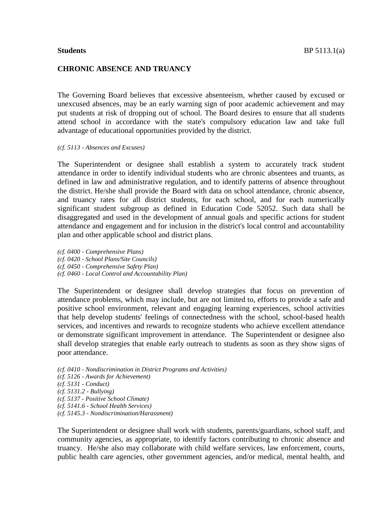#### **Students** BP 5113.1(a)

The Governing Board believes that excessive absenteeism, whether caused by excused or unexcused absences, may be an early warning sign of poor academic achievement and may put students at risk of dropping out of school. The Board desires to ensure that all students attend school in accordance with the state's compulsory education law and take full advantage of educational opportunities provided by the district.

*(cf. 5113 - Absences and Excuses)*

The Superintendent or designee shall establish a system to accurately track student attendance in order to identify individual students who are chronic absentees and truants, as defined in law and administrative regulation, and to identify patterns of absence throughout the district. He/she shall provide the Board with data on school attendance, chronic absence, and truancy rates for all district students, for each school, and for each numerically significant student subgroup as defined in Education Code 52052. Such data shall be disaggregated and used in the development of annual goals and specific actions for student attendance and engagement and for inclusion in the district's local control and accountability plan and other applicable school and district plans.

*(cf. 0400 - Comprehensive Plans) (cf. 0420 - School Plans/Site Councils) (cf. 0450 - Comprehensive Safety Plan) (cf. 0460 - Local Control and Accountability Plan)*

The Superintendent or designee shall develop strategies that focus on prevention of attendance problems, which may include, but are not limited to, efforts to provide a safe and positive school environment, relevant and engaging learning experiences, school activities that help develop students' feelings of connectedness with the school, school-based health services, and incentives and rewards to recognize students who achieve excellent attendance or demonstrate significant improvement in attendance. The Superintendent or designee also shall develop strategies that enable early outreach to students as soon as they show signs of poor attendance.

*(cf. 0410 - Nondiscrimination in District Programs and Activities) (cf. 5126 - Awards for Achievement) (cf. 5131 - Conduct) (cf. 5131.2 - Bullying) (cf. 5137 - Positive School Climate) (cf. 5141.6 - School Health Services) (cf. 5145.3 - Nondiscrimination/Harassment)*

The Superintendent or designee shall work with students, parents/guardians, school staff, and community agencies, as appropriate, to identify factors contributing to chronic absence and truancy. He/she also may collaborate with child welfare services, law enforcement, courts, public health care agencies, other government agencies, and/or medical, mental health, and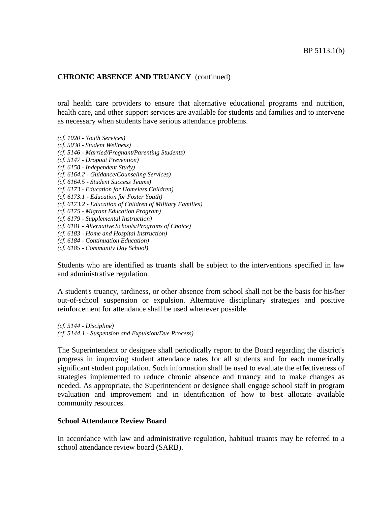oral health care providers to ensure that alternative educational programs and nutrition, health care, and other support services are available for students and families and to intervene as necessary when students have serious attendance problems.

*(cf. 1020 - Youth Services) (cf. 5030 - Student Wellness) (cf. 5146 - Married/Pregnant/Parenting Students) (cf. 5147 - Dropout Prevention) (cf. 6158 - Independent Study) (cf. 6164.2 - Guidance/Counseling Services) (cf. 6164.5 - Student Success Teams) (cf. 6173 - Education for Homeless Children) (cf. 6173.1 - Education for Foster Youth) (cf. 6173.2 - Education of Children of Military Families) (cf. 6175 - Migrant Education Program) (cf. 6179 - Supplemental Instruction) (cf. 6181 - Alternative Schools/Programs of Choice) (cf. 6183 - Home and Hospital Instruction) (cf. 6184 - Continuation Education) (cf. 6185 - Community Day School)*

Students who are identified as truants shall be subject to the interventions specified in law and administrative regulation.

A student's truancy, tardiness, or other absence from school shall not be the basis for his/her out-of-school suspension or expulsion. Alternative disciplinary strategies and positive reinforcement for attendance shall be used whenever possible.

*(cf. 5144 - Discipline) (cf. 5144.1 - Suspension and Expulsion/Due Process)*

The Superintendent or designee shall periodically report to the Board regarding the district's progress in improving student attendance rates for all students and for each numerically significant student population. Such information shall be used to evaluate the effectiveness of strategies implemented to reduce chronic absence and truancy and to make changes as needed. As appropriate, the Superintendent or designee shall engage school staff in program evaluation and improvement and in identification of how to best allocate available community resources.

#### **School Attendance Review Board**

In accordance with law and administrative regulation, habitual truants may be referred to a school attendance review board (SARB).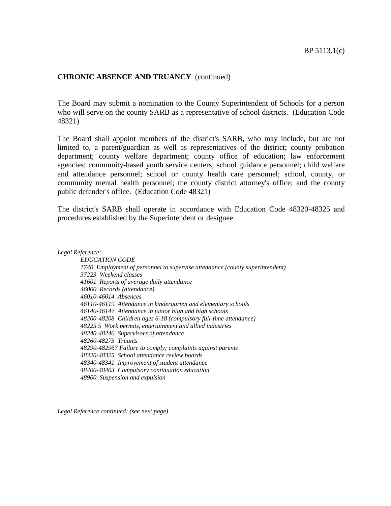The Board may submit a nomination to the County Superintendent of Schools for a person who will serve on the county SARB as a representative of school districts. (Education Code 48321)

The Board shall appoint members of the district's SARB, who may include, but are not limited to, a parent/guardian as well as representatives of the district; county probation department; county welfare department; county office of education; law enforcement agencies; community-based youth service centers; school guidance personnel; child welfare and attendance personnel; school or county health care personnel; school, county, or community mental health personnel; the county district attorney's office; and the county public defender's office. (Education Code 48321)

The district's SARB shall operate in accordance with Education Code 48320-48325 and procedures established by the Superintendent or designee.

*Legal Reference:*

*EDUCATION CODE 1740 Employment of personnel to supervise attendance (county superintendent) 37223 Weekend classes 41601 Reports of average daily attendance 46000 Records (attendance) 46010-46014 Absences 46110-46119 Attendance in kindergarten and elementary schools 46140-46147 Attendance in junior high and high schools 48200-48208 Children ages 6-18 (compulsory full-time attendance) 48225.5 Work permits, entertainment and allied industries 48240-48246 Supervisors of attendance 48260-48273 Truants 48290-482967 Failure to comply; complaints against parents 48320-48325 School attendance review boards 48340-48341 Improvement of student attendance 48400-48403 Compulsory continuation education 48900 Suspension and expulsion*

*Legal Reference continued: (see next page)*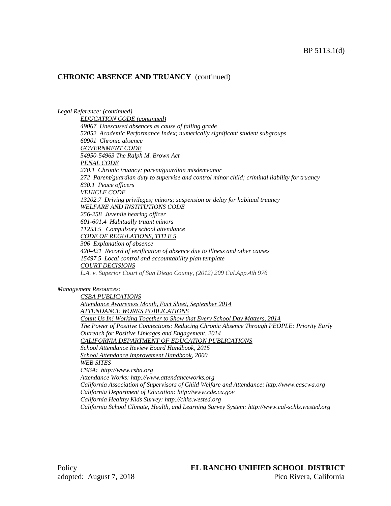*Legal Reference: (continued) EDUCATION CODE (continued) 49067 Unexcused absences as cause of failing grade 52052 Academic Performance Index; numerically significant student subgroups 60901 Chronic absence GOVERNMENT CODE 54950-54963 The Ralph M. Brown Act PENAL CODE 270.1 Chronic truancy; parent/guardian misdemeanor 272 Parent/guardian duty to supervise and control minor child; criminal liability for truancy 830.1 Peace officers VEHICLE CODE 13202.7 Driving privileges; minors; suspension or delay for habitual truancy WELFARE AND INSTITUTIONS CODE 256-258 Juvenile hearing officer 601-601.4 Habitually truant minors 11253.5 Compulsory school attendance CODE OF REGULATIONS, TITLE 5 306 Explanation of absence 420-421 Record of verification of absence due to illness and other causes 15497.5 Local control and accountability plan template COURT DECISIONS L.A. v. Superior Court of San Diego County, (2012) 209 Cal.App.4th 976*

*Management Resources:* 

*CSBA PUBLICATIONS Attendance Awareness Month, Fact Sheet, September 2014 ATTENDANCE WORKS PUBLICATIONS Count Us In! Working Together to Show that Every School Day Matters, 2014 The Power of Positive Connections: Reducing Chronic Absence Through PEOPLE: Priority Early Outreach for Positive Linkages and Engagement, 2014 CALIFORNIA DEPARTMENT OF EDUCATION PUBLICATIONS School Attendance Review Board Handbook, 2015 School Attendance Improvement Handbook, 2000 WEB SITES CSBA: http://www.csba.org Attendance Works: http://www.attendanceworks.org California Association of Supervisors of Child Welfare and Attendance: http://www.cascwa.org California Department of Education: http://www.cde.ca.gov California Healthy Kids Survey: http://chks.wested.org California School Climate, Health, and Learning Survey System: http://www.cal-schls.wested.org*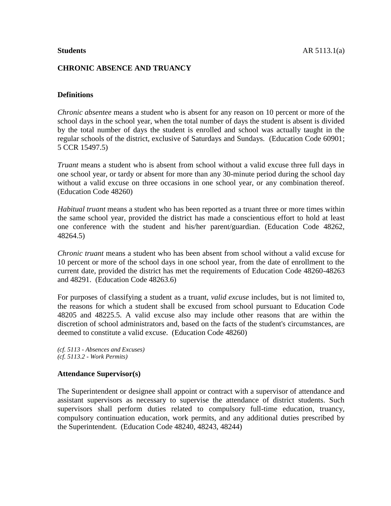# **CHRONIC ABSENCE AND TRUANCY**

## **Definitions**

*Chronic absentee* means a student who is absent for any reason on 10 percent or more of the school days in the school year, when the total number of days the student is absent is divided by the total number of days the student is enrolled and school was actually taught in the regular schools of the district, exclusive of Saturdays and Sundays. (Education Code 60901; 5 CCR 15497.5)

*Truant* means a student who is absent from school without a valid excuse three full days in one school year, or tardy or absent for more than any 30-minute period during the school day without a valid excuse on three occasions in one school year, or any combination thereof. (Education Code 48260)

*Habitual truant* means a student who has been reported as a truant three or more times within the same school year, provided the district has made a conscientious effort to hold at least one conference with the student and his/her parent/guardian. (Education Code 48262, 48264.5)

*Chronic truant* means a student who has been absent from school without a valid excuse for 10 percent or more of the school days in one school year, from the date of enrollment to the current date, provided the district has met the requirements of Education Code 48260-48263 and 48291. (Education Code 48263.6)

For purposes of classifying a student as a truant, *valid excuse* includes, but is not limited to, the reasons for which a student shall be excused from school pursuant to Education Code 48205 and 48225.5. A valid excuse also may include other reasons that are within the discretion of school administrators and, based on the facts of the student's circumstances, are deemed to constitute a valid excuse. (Education Code 48260)

*(cf. 5113 - Absences and Excuses) (cf. 5113.2 - Work Permits)*

### **Attendance Supervisor(s)**

The Superintendent or designee shall appoint or contract with a supervisor of attendance and assistant supervisors as necessary to supervise the attendance of district students. Such supervisors shall perform duties related to compulsory full-time education, truancy, compulsory continuation education, work permits, and any additional duties prescribed by the Superintendent. (Education Code 48240, 48243, 48244)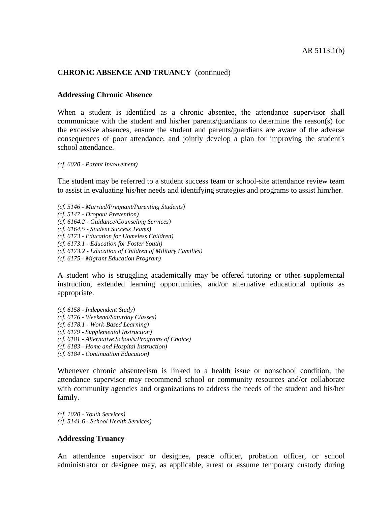#### **Addressing Chronic Absence**

When a student is identified as a chronic absentee, the attendance supervisor shall communicate with the student and his/her parents/guardians to determine the reason(s) for the excessive absences, ensure the student and parents/guardians are aware of the adverse consequences of poor attendance, and jointly develop a plan for improving the student's school attendance.

*(cf. 6020 - Parent Involvement)*

The student may be referred to a student success team or school-site attendance review team to assist in evaluating his/her needs and identifying strategies and programs to assist him/her.

*(cf. 5146 - Married/Pregnant/Parenting Students) (cf. 5147 - Dropout Prevention) (cf. 6164.2 - Guidance/Counseling Services) (cf. 6164.5 - Student Success Teams) (cf. 6173 - Education for Homeless Children) (cf. 6173.1 - Education for Foster Youth)*

*(cf. 6173.2 - Education of Children of Military Families)*

*(cf. 6175 - Migrant Education Program)*

A student who is struggling academically may be offered tutoring or other supplemental instruction, extended learning opportunities, and/or alternative educational options as appropriate.

*(cf. 6158 - Independent Study) (cf. 6176 - Weekend/Saturday Classes) (cf. 6178.1 - Work-Based Learning) (cf. 6179 - Supplemental Instruction) (cf. 6181 - Alternative Schools/Programs of Choice) (cf. 6183 - Home and Hospital Instruction)*

*(cf. 6184 - Continuation Education)*

Whenever chronic absenteeism is linked to a health issue or nonschool condition, the attendance supervisor may recommend school or community resources and/or collaborate with community agencies and organizations to address the needs of the student and his/her family.

*(cf. 1020 - Youth Services) (cf. 5141.6 - School Health Services)*

### **Addressing Truancy**

An attendance supervisor or designee, peace officer, probation officer, or school administrator or designee may, as applicable, arrest or assume temporary custody during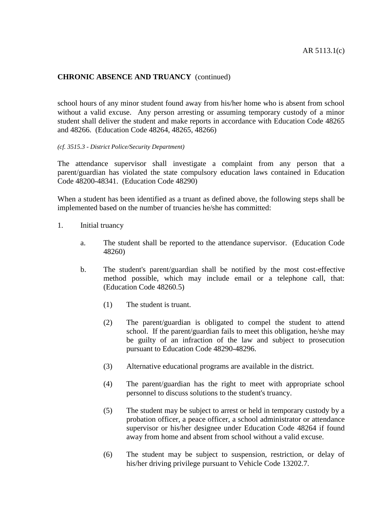school hours of any minor student found away from his/her home who is absent from school without a valid excuse. Any person arresting or assuming temporary custody of a minor student shall deliver the student and make reports in accordance with Education Code 48265 and 48266. (Education Code 48264, 48265, 48266)

#### *(cf. 3515.3 - District Police/Security Department)*

The attendance supervisor shall investigate a complaint from any person that a parent/guardian has violated the state compulsory education laws contained in Education Code 48200-48341. (Education Code 48290)

When a student has been identified as a truant as defined above, the following steps shall be implemented based on the number of truancies he/she has committed:

- 1. Initial truancy
	- a. The student shall be reported to the attendance supervisor. (Education Code 48260)
	- b. The student's parent/guardian shall be notified by the most cost-effective method possible, which may include email or a telephone call, that: (Education Code 48260.5)
		- (1) The student is truant.
		- (2) The parent/guardian is obligated to compel the student to attend school. If the parent/guardian fails to meet this obligation, he/she may be guilty of an infraction of the law and subject to prosecution pursuant to Education Code 48290-48296.
		- (3) Alternative educational programs are available in the district.
		- (4) The parent/guardian has the right to meet with appropriate school personnel to discuss solutions to the student's truancy.
		- (5) The student may be subject to arrest or held in temporary custody by a probation officer, a peace officer, a school administrator or attendance supervisor or his/her designee under Education Code 48264 if found away from home and absent from school without a valid excuse.
		- (6) The student may be subject to suspension, restriction, or delay of his/her driving privilege pursuant to Vehicle Code 13202.7.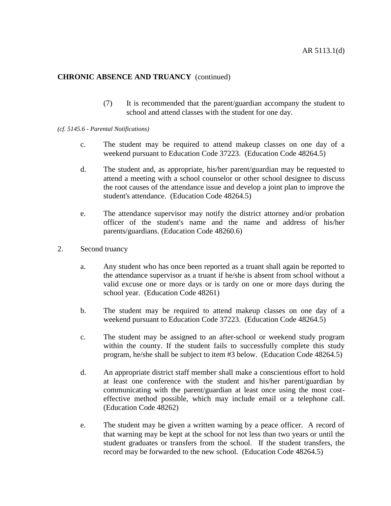(7) It is recommended that the parent/guardian accompany the student to school and attend classes with the student for one day.

#### *(cf. 5145.6 - Parental Notifications)*

- c. The student may be required to attend makeup classes on one day of a weekend pursuant to Education Code 37223. (Education Code 48264.5)
- d. The student and, as appropriate, his/her parent/guardian may be requested to attend a meeting with a school counselor or other school designee to discuss the root causes of the attendance issue and develop a joint plan to improve the student's attendance. (Education Code 48264.5)
- e. The attendance supervisor may notify the district attorney and/or probation officer of the student's name and the name and address of his/her parents/guardians. (Education Code 48260.6)
- 2. Second truancy
	- a. Any student who has once been reported as a truant shall again be reported to the attendance supervisor as a truant if he/she is absent from school without a valid excuse one or more days or is tardy on one or more days during the school year. (Education Code 48261)
	- b. The student may be required to attend makeup classes on one day of a weekend pursuant to Education Code 37223. (Education Code 48264.5)
	- c. The student may be assigned to an after-school or weekend study program within the county. If the student fails to successfully complete this study program, he/she shall be subject to item #3 below. (Education Code 48264.5)
	- d. An appropriate district staff member shall make a conscientious effort to hold at least one conference with the student and his/her parent/guardian by communicating with the parent/guardian at least once using the most costeffective method possible, which may include email or a telephone call. (Education Code 48262)
	- e. The student may be given a written warning by a peace officer. A record of that warning may be kept at the school for not less than two years or until the student graduates or transfers from the school. If the student transfers, the record may be forwarded to the new school. (Education Code 48264.5)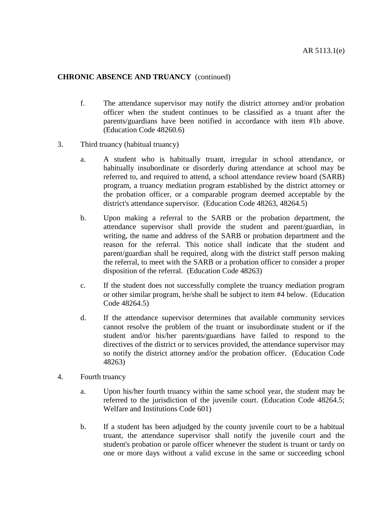- f. The attendance supervisor may notify the district attorney and/or probation officer when the student continues to be classified as a truant after the parents/guardians have been notified in accordance with item #1b above. (Education Code 48260.6)
- 3. Third truancy (habitual truancy)
	- a. A student who is habitually truant, irregular in school attendance, or habitually insubordinate or disorderly during attendance at school may be referred to, and required to attend, a school attendance review board (SARB) program, a truancy mediation program established by the district attorney or the probation officer, or a comparable program deemed acceptable by the district's attendance supervisor. (Education Code 48263, 48264.5)
	- b. Upon making a referral to the SARB or the probation department, the attendance supervisor shall provide the student and parent/guardian, in writing, the name and address of the SARB or probation department and the reason for the referral. This notice shall indicate that the student and parent/guardian shall be required, along with the district staff person making the referral, to meet with the SARB or a probation officer to consider a proper disposition of the referral. (Education Code 48263)
	- c. If the student does not successfully complete the truancy mediation program or other similar program, he/she shall be subject to item #4 below. (Education Code 48264.5)
	- d. If the attendance supervisor determines that available community services cannot resolve the problem of the truant or insubordinate student or if the student and/or his/her parents/guardians have failed to respond to the directives of the district or to services provided, the attendance supervisor may so notify the district attorney and/or the probation officer. (Education Code 48263)
- 4. Fourth truancy
	- a. Upon his/her fourth truancy within the same school year, the student may be referred to the jurisdiction of the juvenile court. (Education Code 48264.5; Welfare and Institutions Code 601)
	- b. If a student has been adjudged by the county juvenile court to be a habitual truant, the attendance supervisor shall notify the juvenile court and the student's probation or parole officer whenever the student is truant or tardy on one or more days without a valid excuse in the same or succeeding school